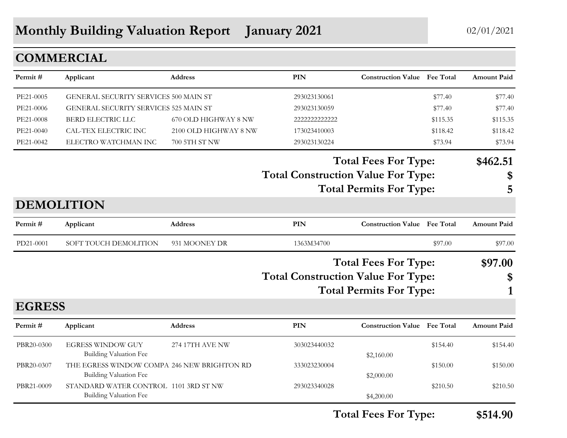## **Monthly Building Valuation Report January 2021** 02/01/2021

### **COMMERCIAL**

| Applicant                     | Address                                                                                | <b>PIN</b>                                                                                                                                                             |                                                       |                          | <b>Amount Paid</b>                                                                                                                                                                                                                                                                                                                                                    |
|-------------------------------|----------------------------------------------------------------------------------------|------------------------------------------------------------------------------------------------------------------------------------------------------------------------|-------------------------------------------------------|--------------------------|-----------------------------------------------------------------------------------------------------------------------------------------------------------------------------------------------------------------------------------------------------------------------------------------------------------------------------------------------------------------------|
|                               |                                                                                        | 293023130061                                                                                                                                                           |                                                       | \$77.40                  | \$77.40                                                                                                                                                                                                                                                                                                                                                               |
|                               |                                                                                        | 293023130059                                                                                                                                                           |                                                       | \$77.40                  | \$77.40                                                                                                                                                                                                                                                                                                                                                               |
| BERD ELECTRIC LLC             | 670 OLD HIGHWAY 8 NW                                                                   | 2222222222222                                                                                                                                                          |                                                       | \$115.35                 | \$115.35                                                                                                                                                                                                                                                                                                                                                              |
| CAL-TEX ELECTRIC INC          |                                                                                        | 173023410003                                                                                                                                                           |                                                       | \$118.42                 | \$118.42                                                                                                                                                                                                                                                                                                                                                              |
| ELECTRO WATCHMAN INC          | 700 5TH ST NW                                                                          | 293023130224                                                                                                                                                           |                                                       | \$73.94                  | \$73.94                                                                                                                                                                                                                                                                                                                                                               |
|                               |                                                                                        |                                                                                                                                                                        |                                                       |                          | \$462.51                                                                                                                                                                                                                                                                                                                                                              |
|                               |                                                                                        |                                                                                                                                                                        |                                                       |                          | \$                                                                                                                                                                                                                                                                                                                                                                    |
|                               |                                                                                        |                                                                                                                                                                        |                                                       |                          | 5                                                                                                                                                                                                                                                                                                                                                                     |
|                               |                                                                                        |                                                                                                                                                                        |                                                       |                          |                                                                                                                                                                                                                                                                                                                                                                       |
| Applicant                     | <b>Address</b>                                                                         | PIN                                                                                                                                                                    |                                                       |                          | <b>Amount Paid</b>                                                                                                                                                                                                                                                                                                                                                    |
| SOFT TOUCH DEMOLITION         | 931 MOONEY DR                                                                          | 1363M34700                                                                                                                                                             |                                                       | \$97.00                  | \$97.00                                                                                                                                                                                                                                                                                                                                                               |
|                               |                                                                                        |                                                                                                                                                                        |                                                       |                          | \$97.00                                                                                                                                                                                                                                                                                                                                                               |
|                               |                                                                                        |                                                                                                                                                                        |                                                       |                          | \$                                                                                                                                                                                                                                                                                                                                                                    |
|                               |                                                                                        |                                                                                                                                                                        |                                                       |                          |                                                                                                                                                                                                                                                                                                                                                                       |
|                               |                                                                                        |                                                                                                                                                                        |                                                       |                          |                                                                                                                                                                                                                                                                                                                                                                       |
| Applicant                     | <b>Address</b>                                                                         | PIN                                                                                                                                                                    |                                                       |                          | <b>Amount Paid</b>                                                                                                                                                                                                                                                                                                                                                    |
| <b>EGRESS WINDOW GUY</b>      | 274 17TH AVE NW                                                                        | 303023440032                                                                                                                                                           |                                                       | \$154.40                 | \$154.40                                                                                                                                                                                                                                                                                                                                                              |
|                               |                                                                                        |                                                                                                                                                                        |                                                       |                          | \$150.00                                                                                                                                                                                                                                                                                                                                                              |
|                               |                                                                                        |                                                                                                                                                                        |                                                       |                          |                                                                                                                                                                                                                                                                                                                                                                       |
|                               |                                                                                        |                                                                                                                                                                        |                                                       |                          | \$210.50                                                                                                                                                                                                                                                                                                                                                              |
| <b>Building Valuation Fee</b> |                                                                                        |                                                                                                                                                                        | \$4,200.00                                            |                          |                                                                                                                                                                                                                                                                                                                                                                       |
|                               | <b>DEMOLITION</b><br><b>EGRESS</b><br>Building Valuation Fee<br>Building Valuation Fee | GENERAL SECURITY SERVICES 500 MAIN ST<br>GENERAL SECURITY SERVICES 525 MAIN ST<br>THE EGRESS WINDOW COMPA 246 NEW BRIGHTON RD<br>STANDARD WATER CONTROL 1101 3RD ST NW | 2100 OLD HIGHWAY 8 NW<br>333023230004<br>293023340028 | \$2,160.00<br>\$2,000.00 | <b>Construction Value</b> Fee Total<br><b>Total Fees For Type:</b><br><b>Total Construction Value For Type:</b><br><b>Total Permits For Type:</b><br><b>Construction Value</b> Fee Total<br><b>Total Fees For Type:</b><br><b>Total Construction Value For Type:</b><br><b>Total Permits For Type:</b><br><b>Construction Value</b> Fee Total<br>\$150.00<br>\$210.50 |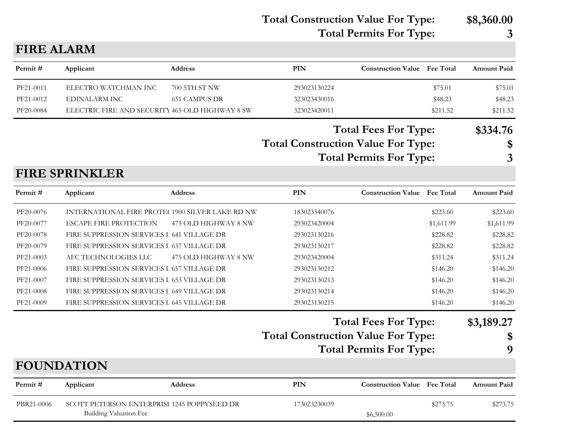**Total Construction Value For Type: \$8,360.00 Total Permits For Type: 3**

| <b>FIRE ALARM</b> |                                                                              |                      |                                           |                                     |                  |                    |
|-------------------|------------------------------------------------------------------------------|----------------------|-------------------------------------------|-------------------------------------|------------------|--------------------|
| Permit#           | Applicant                                                                    | Address              | <b>PIN</b>                                | <b>Construction Value</b> Fee Total |                  | <b>Amount Paid</b> |
| PF21-0011         | ELECTRO WATCHMAN INC                                                         | 700 5TH ST NW        | 293023130224                              |                                     | \$75.01          | \$75.01            |
| PF21-0012         | <b>EDINALARM INC</b>                                                         | <b>651 CAMPUS DR</b> | 323023430016                              |                                     | \$48.23          | \$48.23            |
| PF20-0084         | ELECTRIC FIRE AND SECURITY 465 OLD HIGHWAY 8 SW                              |                      | 323023420011                              |                                     | \$211.52         | \$211.52           |
|                   |                                                                              |                      |                                           | <b>Total Fees For Type:</b>         |                  | \$334.76           |
|                   |                                                                              |                      | <b>Total Construction Value For Type:</b> |                                     |                  | \$                 |
|                   |                                                                              |                      |                                           | <b>Total Permits For Type:</b>      |                  | 3                  |
|                   | <b>FIRE SPRINKLER</b>                                                        |                      |                                           |                                     |                  |                    |
| Permit#           | Applicant                                                                    | <b>Address</b>       | <b>PIN</b>                                | <b>Construction Value</b>           | <b>Fee Total</b> | <b>Amount Paid</b> |
| PF20-0076         | INTERNATIONAL FIRE PROTE(1900 SILVER LAKE RD NW                              |                      | 183023340076                              |                                     | \$223.60         | \$223.60           |
| PF20-0077         | <b>ESCAPE FIRE PROTECTION</b>                                                | 475 OLD HIGHWAY 8 NW | 293023420004                              |                                     | \$1,611.99       | \$1,611.99         |
| PF20-0078         | FIRE SUPPRESSION SERVICES I 641 VILLAGE DR                                   |                      | 293023130216                              |                                     | \$228.82         | \$228.82           |
| PF20-0079         | FIRE SUPPRESSION SERVICES I 637 VILLAGE DR                                   |                      | 293023130217                              |                                     | \$228.82         | \$228.82           |
| PF21-0003         | AFC TECHNOLOGIES LLC                                                         | 475 OLD HIGHWAY 8 NW | 293023420004                              |                                     | \$311.24         | \$311.24           |
| PF21-0006         | FIRE SUPPRESSION SERVICES L 657 VILLAGE DR                                   |                      | 293023130212                              |                                     | \$146.20         | \$146.20           |
| PF21-0007         | FIRE SUPPRESSION SERVICES L 653 VILLAGE DR                                   |                      | 293023130213                              |                                     | \$146.20         | \$146.20           |
| PF21-0008         | FIRE SUPPRESSION SERVICES I 649 VILLAGE DR                                   |                      | 293023130214                              |                                     | \$146.20         | \$146.20           |
| PF21-0009         | FIRE SUPPRESSION SERVICES I 645 VILLAGE DR                                   |                      | 293023130215                              |                                     | \$146.20         | \$146.20           |
|                   |                                                                              |                      |                                           | <b>Total Fees For Type:</b>         |                  | \$3,189.27         |
|                   |                                                                              |                      | <b>Total Construction Value For Type:</b> |                                     |                  | \$                 |
|                   |                                                                              |                      |                                           | <b>Total Permits For Type:</b>      |                  | 9                  |
|                   | <b>FOUNDATION</b>                                                            |                      |                                           |                                     |                  |                    |
|                   |                                                                              |                      |                                           |                                     |                  |                    |
| Permit#           | Applicant                                                                    | Address              | PIN                                       | <b>Construction Value</b> Fee Total |                  | <b>Amount Paid</b> |
| PBR21-0006        | SCOTT PETERSON ENTERPRISI 1245 POPPYSEED DR<br><b>Building Valuation Fee</b> |                      | 173023230039                              | \$6,500.00                          | \$273.75         | \$273.75           |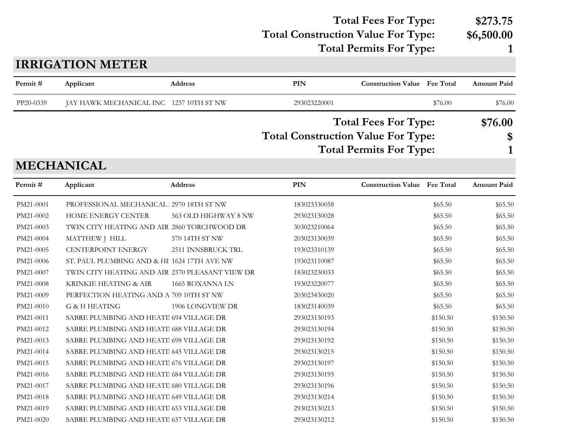#### Total Construction Value For Type: \$6,500.00 **Total Fees For Type: \$273.75**

**Total Permits For Type: 1**

## **PIN Construction Value Permit # Applicant Address Fee Total Amount Paid IRRIGATION METER** PP20-0339 JAY HAWK MECHANICAL INC 1237 10TH ST NW 293023220001 \$76.00 \$76.00 \$76.00 **Total Construction Value For Type: \$ Total Fees For Type: \$76.00 Total Permits For Type: 1**

**MECHANICAL**

| Permit#   | Applicant                                       | <b>Address</b>       | <b>PIN</b>   | <b>Construction Value</b> Fee Total |          | <b>Amount Paid</b> |
|-----------|-------------------------------------------------|----------------------|--------------|-------------------------------------|----------|--------------------|
| PM21-0001 | PROFESSIONAL MECHANICAL 2970 18TH ST NW         |                      | 183023330058 |                                     | \$65.50  | \$65.50            |
| PM21-0002 | HOME ENERGY CENTER                              | 563 OLD HIGHWAY 8 NW | 293023130028 |                                     | \$65.50  | \$65.50            |
| PM21-0003 | TWIN CITY HEATING AND AIR 2860 TORCHWOOD DR     |                      | 303023210064 |                                     | \$65.50  | \$65.50            |
| PM21-0004 | MATTHEW J HILL                                  | 570 14TH ST NW       | 203023130039 |                                     | \$65.50  | \$65.50            |
| PM21-0005 | <b>CENTERPOINT ENERGY</b>                       | 2511 INNSBRUCK TRL   | 193023310139 |                                     | \$65.50  | \$65.50            |
| PM21-0006 | ST. PAUL PLUMBING AND & HE 1624 17TH AVE NW     |                      | 193023110087 |                                     | \$65.50  | \$65.50            |
| PM21-0007 | TWIN CITY HEATING AND AIR 2370 PLEASANT VIEW DR |                      | 183023230033 |                                     | \$65.50  | \$65.50            |
| PM21-0008 | KRINKIE HEATING & AIR                           | 1665 ROXANNA LN      | 193023220077 |                                     | \$65.50  | \$65.50            |
| PM21-0009 | PERFECTION HEATING AND A 709 10TH ST NW         |                      | 203023430020 |                                     | \$65.50  | \$65.50            |
| PM21-0010 | G & H HEATING                                   | 1906 LONGVIEW DR     | 183023140039 |                                     | \$65.50  | \$65.50            |
| PM21-0011 | SABRE PLUMBING AND HEATI 694 VILLAGE DR         |                      | 293023130193 |                                     | \$150.50 | \$150.50           |
| PM21-0012 | SABRE PLUMBING AND HEATI 688 VILLAGE DR         |                      | 293023130194 |                                     | \$150.50 | \$150.50           |
| PM21-0013 | SABRE PLUMBING AND HEATI 698 VILLAGE DR         |                      | 293023130192 |                                     | \$150.50 | \$150.50           |
| PM21-0014 | SABRE PLUMBING AND HEATI 645 VILLAGE DR         |                      | 293023130215 |                                     | \$150.50 | \$150.50           |
| PM21-0015 | SABRE PLUMBING AND HEATI 676 VILLAGE DR         |                      | 293023130197 |                                     | \$150.50 | \$150.50           |
| PM21-0016 | SABRE PLUMBING AND HEATI 684 VILLAGE DR         |                      | 293023130195 |                                     | \$150.50 | \$150.50           |
| PM21-0017 | SABRE PLUMBING AND HEATI 680 VILLAGE DR         |                      | 293023130196 |                                     | \$150.50 | \$150.50           |
| PM21-0018 | SABRE PLUMBING AND HEATI 649 VILLAGE DR         |                      | 293023130214 |                                     | \$150.50 | \$150.50           |
| PM21-0019 | SABRE PLUMBING AND HEATI 653 VILLAGE DR         |                      | 293023130213 |                                     | \$150.50 | \$150.50           |
| PM21-0020 | SABRE PLUMBING AND HEATII 657 VILLAGE DR        |                      | 293023130212 |                                     | \$150.50 | \$150.50           |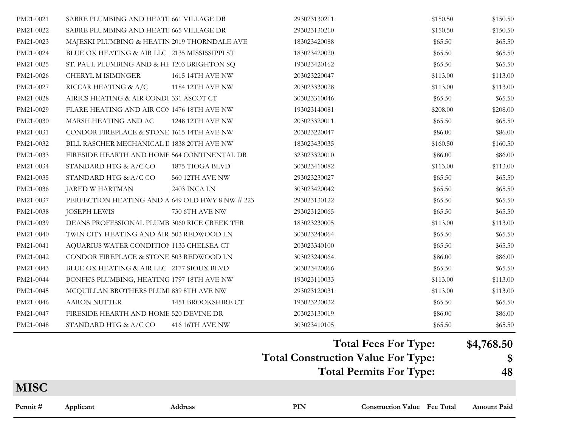| PM21-0021   | SABRE PLUMBING AND HEATI 661 VILLAGE DR         | 293023130211                              | \$150.50 | \$150.50                   |
|-------------|-------------------------------------------------|-------------------------------------------|----------|----------------------------|
| PM21-0022   | SABRE PLUMBING AND HEATI 665 VILLAGE DR         | 293023130210                              | \$150.50 | \$150.50                   |
| PM21-0023   | MAJESKI PLUMBING & HEATIN 2019 THORNDALE AVE    | 183023420088                              | \$65.50  | \$65.50                    |
| PM21-0024   | BLUE OX HEATING & AIR LLC 2135 MISSISSIPPI ST   | 183023420020                              | \$65.50  | \$65.50                    |
| PM21-0025   | ST. PAUL PLUMBING AND & HE 1203 BRIGHTON SQ     | 193023420162                              | \$65.50  | \$65.50                    |
| PM21-0026   | CHERYL M ISIMINGER<br>1615 14TH AVE NW          | 203023220047                              | \$113.00 | \$113.00                   |
| PM21-0027   | RICCAR HEATING & A/C<br>1184 12TH AVE NW        | 203023330028                              | \$113.00 | \$113.00                   |
| PM21-0028   | AIRICS HEATING & AIR CONDI 331 ASCOT CT         | 303023310046                              | \$65.50  | \$65.50                    |
| PM21-0029   | FLARE HEATING AND AIR CON 1476 18TH AVE NW      | 193023140081                              | \$208.00 | \$208.00                   |
| PM21-0030   | MARSH HEATING AND AC<br>1248 12TH AVE NW        | 203023320011                              | \$65.50  | \$65.50                    |
| PM21-0031   | CONDOR FIREPLACE & STONE 1615 14TH AVE NW       | 203023220047                              | \$86.00  | \$86.00                    |
| PM21-0032   | BILL RASCHER MECHANICAL II 1838 20TH AVE NW     | 183023430035                              | \$160.50 | \$160.50                   |
| PM21-0033   | FIRESIDE HEARTH AND HOME 564 CONTINENTAL DR     | 323023320010                              | \$86.00  | \$86.00                    |
| PM21-0034   | STANDARD HTG & A/C CO<br>1875 TIOGA BLVD        | 303023410082                              | \$113.00 | \$113.00                   |
| PM21-0035   | STANDARD HTG & A/C CO<br>560 12TH AVE NW        | 293023230027                              | \$65.50  | \$65.50                    |
| PM21-0036   | JARED W HARTMAN<br>2403 INCA LN                 | 303023420042                              | \$65.50  | \$65.50                    |
| PM21-0037   | PERFECTION HEATING AND A 649 OLD HWY 8 NW # 223 | 293023130122                              | \$65.50  | \$65.50                    |
| PM21-0038   | 730 6TH AVE NW<br><b>JOSEPH LEWIS</b>           | 293023120065                              | \$65.50  | \$65.50                    |
| PM21-0039   | DEANS PROFESSIONAL PLUMB 3060 RICE CREEK TER    | 183023230005                              | \$113.00 | \$113.00                   |
| PM21-0040   | TWIN CITY HEATING AND AIR 503 REDWOOD LN        | 303023240064                              | \$65.50  | \$65.50                    |
| PM21-0041   | AQUARIUS WATER CONDITION 1133 CHELSEA CT        | 203023340100                              | \$65.50  | \$65.50                    |
| PM21-0042   | CONDOR FIREPLACE & STONE 503 REDWOOD LN         | 303023240064                              | \$86.00  | \$86.00                    |
| PM21-0043   | BLUE OX HEATING & AIR LLC 2177 SIOUX BLVD       | 303023420066                              | \$65.50  | \$65.50                    |
| PM21-0044   | BONFE'S PLUMBING, HEATING 1797 18TH AVE NW      | 193023110033                              | \$113.00 | \$113.00                   |
| PM21-0045   | MCQUILLAN BROTHERS PLUMI 839 8TH AVE NW         | 293023120031                              | \$113.00 | \$113.00                   |
| PM21-0046   | <b>AARON NUTTER</b><br>1451 BROOKSHIRE CT       | 193023230032                              | \$65.50  | \$65.50                    |
| PM21-0047   | FIRESIDE HEARTH AND HOME 520 DEVINE DR          | 203023130019                              | \$86.00  | \$86.00                    |
| PM21-0048   | STANDARD HTG & A/C CO<br>416 16TH AVE NW        | 303023410105                              | \$65.50  | \$65.50                    |
|             |                                                 | <b>Total Fees For Type:</b>               |          | \$4,768.50                 |
|             |                                                 | <b>Total Construction Value For Type:</b> |          | $\boldsymbol{\mathcal{S}}$ |
|             |                                                 | <b>Total Permits For Type:</b>            |          | 48                         |
| <b>MISC</b> |                                                 |                                           |          |                            |

**PIN Construction Value Permit # Applicant Address Fee Total Amount Paid**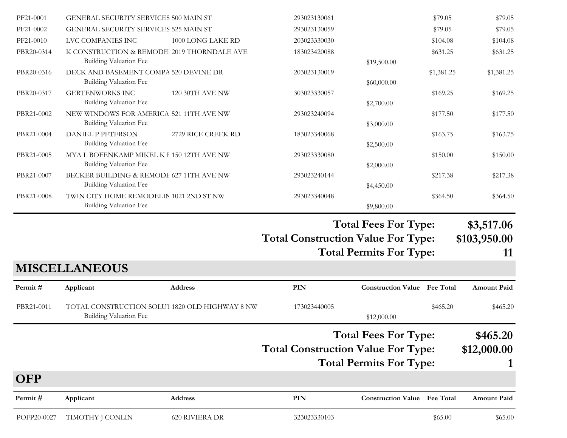| Permit#                | Applicant                                                                                    | Address                | PIN                                       | <b>Construction Value Fee Total</b> |                    | Amount Paid        |
|------------------------|----------------------------------------------------------------------------------------------|------------------------|-------------------------------------------|-------------------------------------|--------------------|--------------------|
| <b>OFP</b>             |                                                                                              |                        |                                           |                                     |                    |                    |
|                        |                                                                                              |                        |                                           | <b>Total Permits For Type:</b>      |                    |                    |
|                        |                                                                                              |                        | <b>Total Construction Value For Type:</b> |                                     |                    | \$12,000.00        |
|                        |                                                                                              |                        |                                           | <b>Total Fees For Type:</b>         |                    | \$465.20           |
| PBR21-0011             | TOTAL CONSTRUCTION SOLU'I 1820 OLD HIGHWAY 8 NW<br>Building Valuation Fee                    |                        | 173023440005                              | \$12,000.00                         | \$465.20           | \$465.20           |
| Permit#                | Applicant                                                                                    | <b>Address</b>         | <b>PIN</b>                                | <b>Construction Value Fee Total</b> |                    | <b>Amount Paid</b> |
|                        | <b>MISCELLANEOUS</b>                                                                         |                        |                                           |                                     |                    |                    |
|                        |                                                                                              |                        |                                           | <b>Total Permits For Type:</b>      |                    | 11                 |
|                        |                                                                                              |                        | <b>Total Construction Value For Type:</b> |                                     |                    | \$103,950.00       |
|                        |                                                                                              |                        |                                           | <b>Total Fees For Type:</b>         |                    | \$3,517.06         |
| PBR21-0008             | TWIN CITY HOME REMODELIN 1021 2ND ST NW<br><b>Building Valuation Fee</b>                     |                        | 293023340048                              | \$9,800.00                          | \$364.50           | \$364.50           |
|                        | <b>Building Valuation Fee</b>                                                                |                        |                                           | \$4,450.00                          |                    |                    |
| PBR21-0007             | <b>Building Valuation Fee</b><br>BECKER BUILDING & REMODE 627 11TH AVE NW                    |                        | 293023240144                              | \$2,000.00                          | \$217.38           | \$217.38           |
| PBR21-0005             | MYA L BOFENKAMP MIKEL K I 150 12TH AVE NW                                                    |                        | 293023330080                              |                                     | \$150.00           | \$150.00           |
| PBR21-0004             | <b>DANIEL P PETERSON</b><br><b>Building Valuation Fee</b>                                    | 2729 RICE CREEK RD     | 183023340068                              | \$2,500.00                          | \$163.75           | \$163.75           |
|                        | <b>Building Valuation Fee</b>                                                                |                        |                                           | \$3,000.00                          |                    |                    |
| PBR21-0002             | NEW WINDOWS FOR AMERICA 521 11TH AVE NW                                                      |                        | 293023240094                              |                                     | \$177.50           | \$177.50           |
| PBR20-0317             | <b>GERTENWORKS INC</b><br><b>Building Valuation Fee</b>                                      | <b>120 30TH AVE NW</b> | 303023330057                              | \$2,700.00                          | \$169.25           | \$169.25           |
| PBR20-0316             | DECK AND BASEMENT COMPA 520 DEVINE DR<br><b>Building Valuation Fee</b>                       |                        | 203023130019                              | \$60,000.00                         | \$1,381.25         | \$1,381.25         |
|                        | <b>Building Valuation Fee</b>                                                                |                        |                                           | \$19,500.00                         |                    |                    |
| PBR20-0314             | K CONSTRUCTION & REMODE 2019 THORNDALE AVE                                                   |                        | 183023420088                              |                                     | \$631.25           | \$631.25           |
| PF21-0010              | LVC COMPANIES INC                                                                            | 1000 LONG LAKE RD      | 203023330030                              |                                     | \$104.08           | \$104.08           |
| PF21-0001<br>PF21-0002 | <b>GENERAL SECURITY SERVICES 500 MAIN ST</b><br><b>GENERAL SECURITY SERVICES 525 MAIN ST</b> |                        | 293023130061<br>293023130059              |                                     | \$79.05<br>\$79.05 | \$79.05<br>\$79.05 |
|                        |                                                                                              |                        |                                           |                                     |                    |                    |

POFP20-0027 TIMOTHY J CONLIN 620 RIVIERA DR 323023330103 \$65.00 \$65.00 \$65.00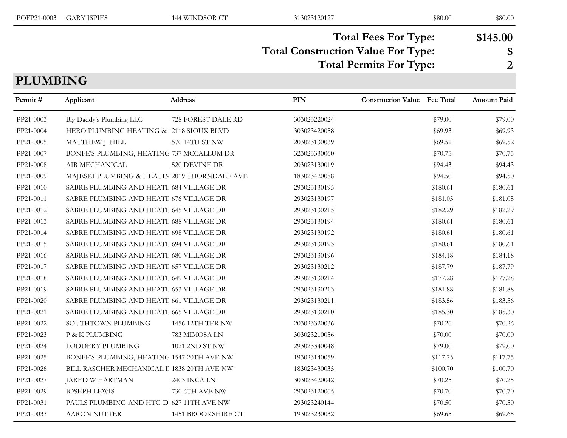| POFP21-0003     | <b>GARY JSPIES</b>                           | 144 WINDSOR CT     | 313023120127                              | \$80.00                                                       | \$80.00                          |
|-----------------|----------------------------------------------|--------------------|-------------------------------------------|---------------------------------------------------------------|----------------------------------|
| <b>PLUMBING</b> |                                              |                    | <b>Total Construction Value For Type:</b> | <b>Total Fees For Type:</b><br><b>Total Permits For Type:</b> | \$145.00<br>\$<br>$\overline{2}$ |
| Permit #        | Applicant                                    | Address            | <b>PIN</b>                                | <b>Construction Value</b><br><b>Fee Total</b>                 | <b>Amount Paid</b>               |
| PP21-0003       | Big Daddy's Plumbing LLC                     | 728 FOREST DALE RD | 303023220024                              | \$79.00                                                       | \$79.00                          |
| PP21-0004       | HERO PLUMBING HEATING & 2118 SIOUX BLVD      |                    | 303023420058                              | \$69.93                                                       | \$69.93                          |
| PP21-0005       | MATTHEW J HILL                               | 570 14TH ST NW     | 203023130039                              | \$69.52                                                       | \$69.52                          |
| PP21-0007       | BONFE'S PLUMBING, HEATING 737 MCCALLUM DR    |                    | 323023330060                              | \$70.75                                                       | \$70.75                          |
| PP21-0008       | AIR MECHANICAL                               | 520 DEVINE DR      | 203023130019                              | \$94.43                                                       | \$94.43                          |
| PP21-0009       | MAJESKI PLUMBING & HEATIN 2019 THORNDALE AVE |                    | 183023420088                              | \$94.50                                                       | \$94.50                          |
| PP21-0010       | SABRE PLUMBING AND HEATI 684 VILLAGE DR      |                    | 293023130195                              | \$180.61                                                      | \$180.61                         |
| PP21-0011       | SABRE PLUMBING AND HEATI 676 VILLAGE DR      |                    | 293023130197                              | \$181.05                                                      | \$181.05                         |
| PP21-0012       | SABRE PLUMBING AND HEATI 645 VILLAGE DR      |                    | 293023130215                              | \$182.29                                                      | \$182.29                         |
| PP21-0013       | SABRE PLUMBING AND HEATI 688 VILLAGE DR      |                    | 293023130194                              | \$180.61                                                      | \$180.61                         |
| PP21-0014       | SABRE PLUMBING AND HEATI 698 VILLAGE DR      |                    | 293023130192                              | \$180.61                                                      | \$180.61                         |
| PP21-0015       | SABRE PLUMBING AND HEATI 694 VILLAGE DR      |                    | 293023130193                              | \$180.61                                                      | \$180.61                         |
| PP21-0016       | SABRE PLUMBING AND HEATI 680 VILLAGE DR      |                    | 293023130196                              | \$184.18                                                      | \$184.18                         |
| PP21-0017       | SABRE PLUMBING AND HEATI 657 VILLAGE DR      |                    | 293023130212                              | \$187.79                                                      | \$187.79                         |
| PP21-0018       | SABRE PLUMBING AND HEATI 649 VILLAGE DR      |                    | 293023130214                              | \$177.28                                                      | \$177.28                         |
| PP21-0019       | SABRE PLUMBING AND HEATII 653 VILLAGE DR     |                    | 293023130213                              | \$181.88                                                      | \$181.88                         |
| PP21-0020       | SABRE PLUMBING AND HEATI 661 VILLAGE DR      |                    | 293023130211                              | \$183.56                                                      | \$183.56                         |
| PP21-0021       | SABRE PLUMBING AND HEATII 665 VILLAGE DR     |                    | 293023130210                              | \$185.30                                                      | \$185.30                         |

| PP21-0016 | SABRE PLUMBING AND HEATI 680 VILLAGE DR     |                    | 293023130196 | \$184.18 | \$184.18 |
|-----------|---------------------------------------------|--------------------|--------------|----------|----------|
| PP21-0017 | SABRE PLUMBING AND HEATII 657 VILLAGE DR    |                    | 293023130212 | \$187.79 | \$187.79 |
| PP21-0018 | SABRE PLUMBING AND HEATI 649 VILLAGE DR     |                    | 293023130214 | \$177.28 | \$177.28 |
| PP21-0019 | SABRE PLUMBING AND HEATI 653 VILLAGE DR     |                    | 293023130213 | \$181.88 | \$181.88 |
| PP21-0020 | SABRE PLUMBING AND HEATI 661 VILLAGE DR     |                    | 293023130211 | \$183.56 | \$183.56 |
| PP21-0021 | SABRE PLUMBING AND HEATI 665 VILLAGE DR     |                    | 293023130210 | \$185.30 | \$185.30 |
| PP21-0022 | SOUTHTOWN PLUMBING                          | 1456 12TH TER NW   | 203023320036 | \$70.26  | \$70.26  |
| PP21-0023 | P & K PLUMBING                              | 783 MIMOSA LN      | 303023210056 | \$70.00  | \$70.00  |
| PP21-0024 | LODDERY PLUMBING                            | 1021 2ND ST NW     | 293023340048 | \$79.00  | \$79.00  |
| PP21-0025 | BONFE'S PLUMBING, HEATING 1547 20TH AVE NW  |                    | 193023140059 | \$117.75 | \$117.75 |
| PP21-0026 | BILL RASCHER MECHANICAL II 1838 20TH AVE NW |                    | 183023430035 | \$100.70 | \$100.70 |
| PP21-0027 | JARED W HARTMAN                             | 2403 INCA LN       | 303023420042 | \$70.25  | \$70.25  |
| PP21-0029 | JOSEPH LEWIS                                | 730 6TH AVE NW     | 293023120065 | \$70.70  | \$70.70  |
| PP21-0031 | PAULS PLUMBING AND HTG D. 627 11TH AVE NW   |                    | 293023240144 | \$70.50  | \$70.50  |
| PP21-0033 | <b>AARON NUTTER</b>                         | 1451 BROOKSHIRE CT | 193023230032 | \$69.65  | \$69.65  |
|           |                                             |                    |              |          |          |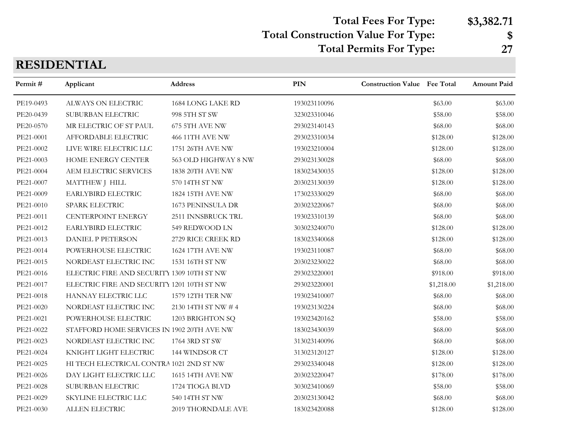**Total Fees For Type: \$3,382.71**

# **Total Construction Value For Type: \$**

**Total Permits For Type: 27**

### **RESIDENTIAL**

| Permit#   | Applicant                                  | Address                | PIN          | <b>Construction Value Fee Total</b> |            | <b>Amount Paid</b> |
|-----------|--------------------------------------------|------------------------|--------------|-------------------------------------|------------|--------------------|
| PE19-0493 | ALWAYS ON ELECTRIC                         | 1684 LONG LAKE RD      | 193023110096 |                                     | \$63.00    | \$63.00            |
| PE20-0439 | SUBURBAN ELECTRIC                          | 998 5TH ST SW          | 323023310046 |                                     | \$58.00    | \$58.00            |
| PE20-0570 | MR ELECTRIC OF ST PAUL                     | 675 5TH AVE NW         | 293023140143 |                                     | \$68.00    | \$68.00            |
| PE21-0001 | AFFORDABLE ELECTRIC                        | <b>466 11TH AVE NW</b> | 293023310034 |                                     | \$128.00   | \$128.00           |
| PE21-0002 | LIVE WIRE ELECTRIC LLC                     | 1751 26TH AVE NW       | 193023210004 |                                     | \$128.00   | \$128.00           |
| PE21-0003 | HOME ENERGY CENTER                         | 563 OLD HIGHWAY 8 NW   | 293023130028 |                                     | \$68.00    | \$68.00            |
| PE21-0004 | AEM ELECTRIC SERVICES                      | 1838 20TH AVE NW       | 183023430035 |                                     | \$128.00   | \$128.00           |
| PE21-0007 | MATTHEW J HILL                             | 570 14TH ST NW         | 203023130039 |                                     | \$128.00   | \$128.00           |
| PE21-0009 | EARLYBIRD ELECTRIC                         | 1824 15TH AVE NW       | 173023330029 |                                     | \$68.00    | \$68.00            |
| PE21-0010 | SPARK ELECTRIC                             | 1673 PENINSULA DR      | 203023220067 |                                     | \$68.00    | \$68.00            |
| PE21-0011 | <b>CENTERPOINT ENERGY</b>                  | 2511 INNSBRUCK TRL     | 193023310139 |                                     | \$68.00    | \$68.00            |
| PE21-0012 | EARLYBIRD ELECTRIC                         | 549 REDWOOD LN         | 303023240070 |                                     | \$128.00   | \$128.00           |
| PE21-0013 | <b>DANIEL P PETERSON</b>                   | 2729 RICE CREEK RD     | 183023340068 |                                     | \$128.00   | \$128.00           |
| PE21-0014 | POWERHOUSE ELECTRIC                        | 1624 17TH AVE NW       | 193023110087 |                                     | \$68.00    | \$68.00            |
| PE21-0015 | NORDEAST ELECTRIC INC                      | 1531 16TH ST NW        | 203023230022 |                                     | \$68.00    | \$68.00            |
| PE21-0016 | ELECTRIC FIRE AND SECURITY 1309 10TH ST NW |                        | 293023220001 |                                     | \$918.00   | \$918.00           |
| PE21-0017 | ELECTRIC FIRE AND SECURITY 1201 10TH ST NW |                        | 293023220001 |                                     | \$1,218.00 | \$1,218.00         |
| PE21-0018 | HANNAY ELECTRIC LLC                        | 1579 12TH TER NW       | 193023410007 |                                     | \$68.00    | \$68.00            |
| PE21-0020 | NORDEAST ELECTRIC INC                      | 2130 14TH ST NW # 4    | 193023130224 |                                     | \$68.00    | \$68.00            |
| PE21-0021 | POWERHOUSE ELECTRIC                        | 1203 BRIGHTON SQ       | 193023420162 |                                     | \$58.00    | \$58.00            |
| PE21-0022 | STAFFORD HOME SERVICES IN 1902 20TH AVE NW |                        | 183023430039 |                                     | \$68.00    | \$68.00            |
| PE21-0023 | NORDEAST ELECTRIC INC                      | 1764 3RD ST SW         | 313023140096 |                                     | \$68.00    | \$68.00            |
| PE21-0024 | KNIGHT LIGHT ELECTRIC                      | 144 WINDSOR CT         | 313023120127 |                                     | \$128.00   | \$128.00           |
| PE21-0025 | HI TECH ELECTRICAL CONTRA 1021 2ND ST NW   |                        | 293023340048 |                                     | \$128.00   | \$128.00           |
| PE21-0026 | DAY LIGHT ELECTRIC LLC                     | 1615 14TH AVE NW       | 203023220047 |                                     | \$178.00   | \$178.00           |
| PE21-0028 | SUBURBAN ELECTRIC                          | 1724 TIOGA BLVD        | 303023410069 |                                     | \$58.00    | \$58.00            |
| PE21-0029 | SKYLINE ELECTRIC LLC                       | 540 14TH ST NW         | 203023130042 |                                     | \$68.00    | \$68.00            |
| PE21-0030 | ALLEN ELECTRIC                             | 2019 THORNDALE AVE     | 183023420088 |                                     | \$128.00   | \$128.00           |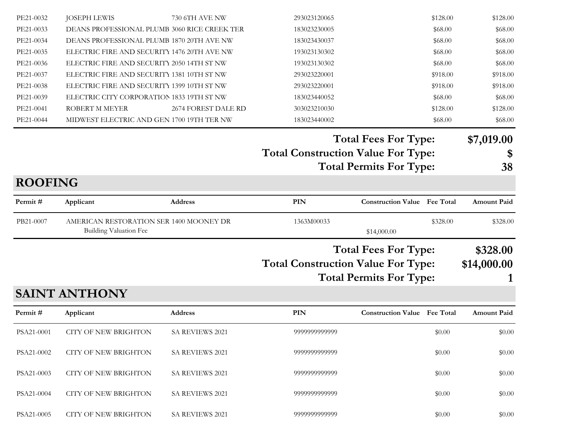| Permit#<br>PSA21-0001<br>PSA21-0002<br>PSA21-0003 | <b>SAINT ANTHONY</b><br>Applicant<br>CITY OF NEW BRIGHTON<br>CITY OF NEW BRIGHTON<br>CITY OF NEW BRIGHTON | Address<br><b>SA REVIEWS 2021</b><br>SA REVIEWS 2021<br>SA REVIEWS 2021 | PIN<br>9999999999999<br>9999999999999<br>9999999999999 | <b>Construction Value Fee Total</b> | \$0.00<br>\$0.00<br>\$0.00 | <b>Amount Paid</b><br>\$0.00<br>\$0.00<br>\$0.00 |
|---------------------------------------------------|-----------------------------------------------------------------------------------------------------------|-------------------------------------------------------------------------|--------------------------------------------------------|-------------------------------------|----------------------------|--------------------------------------------------|
|                                                   |                                                                                                           |                                                                         |                                                        |                                     |                            |                                                  |
|                                                   |                                                                                                           |                                                                         |                                                        |                                     |                            |                                                  |
|                                                   |                                                                                                           |                                                                         |                                                        |                                     |                            |                                                  |
|                                                   |                                                                                                           |                                                                         |                                                        |                                     |                            |                                                  |
|                                                   |                                                                                                           |                                                                         |                                                        | <b>Total Permits For Type:</b>      |                            |                                                  |
|                                                   |                                                                                                           |                                                                         | <b>Total Construction Value For Type:</b>              |                                     |                            | \$14,000.00                                      |
|                                                   |                                                                                                           |                                                                         |                                                        | <b>Total Fees For Type:</b>         |                            | \$328.00                                         |
| PB21-0007                                         | AMERICAN RESTORATION SER 1400 MOONEY DR<br>Building Valuation Fee                                         |                                                                         | 1363M00033                                             | \$14,000.00                         | \$328.00                   | \$328.00                                         |
| Permit#                                           | Applicant                                                                                                 | Address                                                                 | PIN                                                    | <b>Construction Value</b> Fee Total |                            | <b>Amount Paid</b>                               |
| <b>ROOFING</b>                                    |                                                                                                           |                                                                         |                                                        |                                     |                            |                                                  |
|                                                   |                                                                                                           |                                                                         |                                                        | <b>Total Permits For Type:</b>      |                            | 38                                               |
|                                                   |                                                                                                           |                                                                         | <b>Total Construction Value For Type:</b>              |                                     |                            | \$                                               |
|                                                   |                                                                                                           |                                                                         |                                                        | <b>Total Fees For Type:</b>         |                            | \$7,019.00                                       |
| PE21-0044                                         | MIDWEST ELECTRIC AND GEN 1700 19TH TER NW                                                                 |                                                                         | 183023440002                                           |                                     | \$68.00                    | \$68.00                                          |
| PE21-0041                                         | ROBERT M MEYER                                                                                            | 2674 FOREST DALE RD                                                     | 303023210030                                           |                                     | \$128.00                   | \$128.00                                         |
| PE21-0039                                         | ELECTRIC CITY CORPORATION 1833 19TH ST NW                                                                 |                                                                         | 183023440052                                           |                                     | \$68.00                    | \$68.00                                          |
| PE21-0037<br>PE21-0038                            | ELECTRIC FIRE AND SECURITY 1381 10TH ST NW<br>ELECTRIC FIRE AND SECURITY 1399 10TH ST NW                  |                                                                         | 293023220001<br>293023220001                           |                                     | \$918.00<br>\$918.00       | \$918.00<br>\$918.00                             |
| PE21-0036                                         | ELECTRIC FIRE AND SECURITY 2050 14TH ST NW                                                                |                                                                         | 193023130302                                           |                                     | \$68.00                    | \$68.00                                          |
| PE21-0035                                         | ELECTRIC FIRE AND SECURITY 1476 20TH AVE NW                                                               |                                                                         | 193023130302                                           |                                     | \$68.00                    | \$68.00                                          |
| PE21-0034                                         | DEANS PROFESSIONAL PLUMB 1870 20TH AVE NW                                                                 |                                                                         | 183023430037                                           |                                     | \$68.00                    | \$68.00                                          |
|                                                   |                                                                                                           |                                                                         |                                                        |                                     | \$68.00                    | \$68.00                                          |
| PE21-0033                                         |                                                                                                           | DEANS PROFESSIONAL PLUMB 3060 RICE CREEK TER                            | 183023230005                                           |                                     |                            |                                                  |

PSA21-0005 CITY OF NEW BRIGHTON SA REVIEWS 2021 99999999999999999999 \$0.00 \$0.00 \$0.00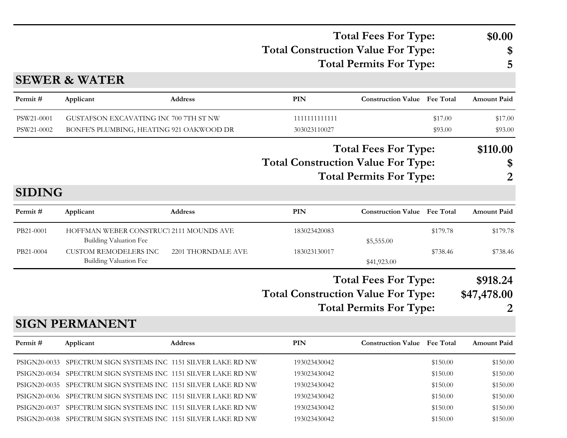|               |                                                                          |                    | <b>Total Fees For Type:</b><br><b>Total Construction Value For Type:</b> |                                     | \$0.00<br>\$ |                    |
|---------------|--------------------------------------------------------------------------|--------------------|--------------------------------------------------------------------------|-------------------------------------|--------------|--------------------|
|               |                                                                          |                    |                                                                          | <b>Total Permits For Type:</b>      |              | 5                  |
|               | <b>SEWER &amp; WATER</b>                                                 |                    |                                                                          |                                     |              |                    |
| Permit#       | Applicant                                                                | <b>Address</b>     | PIN                                                                      | <b>Construction Value</b> Fee Total |              | <b>Amount Paid</b> |
| PSW21-0001    | GUSTAFSON EXCAVATING INC 700 7TH ST NW                                   |                    | 1111111111111                                                            |                                     | \$17.00      | \$17.00            |
| PSW21-0002    | BONFE'S PLUMBING, HEATING 921 OAKWOOD DR                                 |                    | 303023110027                                                             |                                     | \$93.00      | \$93.00            |
|               |                                                                          |                    |                                                                          | <b>Total Fees For Type:</b>         |              | \$110.00           |
|               |                                                                          |                    | <b>Total Construction Value For Type:</b>                                |                                     |              | \$                 |
|               |                                                                          |                    |                                                                          | <b>Total Permits For Type:</b>      |              | 2                  |
| <b>SIDING</b> |                                                                          |                    |                                                                          |                                     |              |                    |
| Permit#       | Applicant                                                                | <b>Address</b>     | PIN                                                                      | <b>Construction Value</b> Fee Total |              | <b>Amount Paid</b> |
| PB21-0001     | HOFFMAN WEBER CONSTRUCT 2111 MOUNDS AVE<br><b>Building Valuation Fee</b> |                    | 183023420083                                                             | \$5,555.00                          | \$179.78     | \$179.78           |
| PB21-0004     | <b>CUSTOM REMODELERS INC</b>                                             | 2201 THORNDALE AVE | 183023130017                                                             |                                     | \$738.46     | \$738.46           |
|               | <b>Building Valuation Fee</b>                                            |                    |                                                                          | \$41,923.00                         |              |                    |
|               |                                                                          |                    |                                                                          | <b>Total Fees For Type:</b>         |              | \$918.24           |
|               |                                                                          |                    | <b>Total Construction Value For Type:</b>                                |                                     |              | \$47,478.00        |
|               |                                                                          |                    |                                                                          | <b>Total Permits For Type:</b>      |              | 2                  |
|               | <b>SIGN PERMANENT</b>                                                    |                    |                                                                          |                                     |              |                    |
| Permit#       | Applicant                                                                | Address            | PIN                                                                      | <b>Construction Value</b> Fee Total |              | <b>Amount Paid</b> |
| PSIGN20-0033  | SPECTRUM SIGN SYSTEMS INC 1151 SILVER LAKE RD NW                         |                    | 193023430042                                                             |                                     | \$150.00     | \$150.00           |
| PSIGN20-0034  | SPECTRUM SIGN SYSTEMS INC 1151 SILVER LAKE RD NW                         |                    | 193023430042                                                             |                                     | \$150.00     | \$150.00           |
|               | PSIGN20-0035 SPECTRUM SIGN SYSTEMS INC 1151 SILVER LAKE RD NW            |                    | 193023430042                                                             |                                     | \$150.00     | \$150.00           |

PSIGN20-0036 SPECTRUM SIGN SYSTEMS INC 1151 SILVER LAKE RD NW 193023430042 \$150.00 \$150.00 \$150.00 PSIGN20-0037 SPECTRUM SIGN SYSTEMS INC 1151 SILVER LAKE RD NW 193023430042 \$150.00 \$150.00 \$150.00 PSIGN20-0038 SPECTRUM SIGN SYSTEMS INC 1151 SILVER LAKE RD NW 193023430042 \$150.00 \$150.00 \$150.00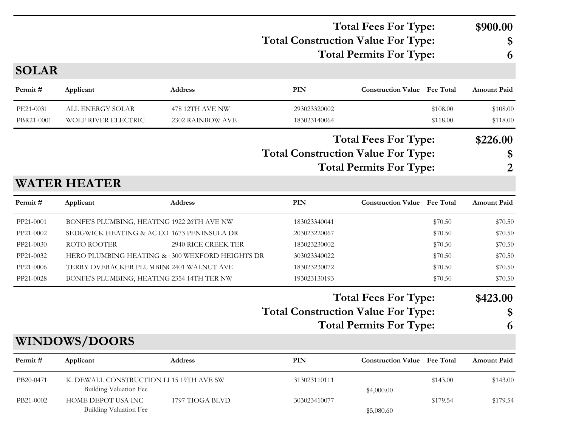### **Total Construction Value For Type: \$ Total Fees For Type: \$900.00 Total Permits For Type: 6**

**SOLAR**

| Permit#    | Applicant                                                                 | <b>Address</b>                                 | <b>PIN</b>                                | <b>Construction Value</b> Fee Total |          | <b>Amount Paid</b> |
|------------|---------------------------------------------------------------------------|------------------------------------------------|-------------------------------------------|-------------------------------------|----------|--------------------|
| PE21-0031  | ALL ENERGY SOLAR                                                          | 478 12TH AVE NW                                | 293023320002                              |                                     | \$108.00 | \$108.00           |
| PBR21-0001 | WOLF RIVER ELECTRIC                                                       | 2302 RAINBOW AVE                               | 183023140064                              |                                     | \$118.00 | \$118.00           |
|            |                                                                           |                                                |                                           | <b>Total Fees For Type:</b>         |          | \$226.00           |
|            |                                                                           |                                                | <b>Total Construction Value For Type:</b> |                                     |          | \$                 |
|            |                                                                           |                                                |                                           | <b>Total Permits For Type:</b>      |          | 2                  |
|            | <b>WATER HEATER</b>                                                       |                                                |                                           |                                     |          |                    |
| Permit#    | Applicant                                                                 | <b>Address</b>                                 | <b>PIN</b>                                | <b>Construction Value Fee Total</b> |          | <b>Amount Paid</b> |
| PP21-0001  | BONFE'S PLUMBING, HEATING 1922 26TH AVE NW                                |                                                | 183023340041                              |                                     | \$70.50  | \$70.50            |
| PP21-0002  | SEDGWICK HEATING & AC CO 1673 PENINSULA DR                                |                                                | 203023220067                              |                                     | \$70.50  | \$70.50            |
| PP21-0030  | <b>ROTO ROOTER</b>                                                        | 2940 RICE CREEK TER                            | 183023230002                              |                                     | \$70.50  | \$70.50            |
| PP21-0032  |                                                                           | HERO PLUMBING HEATING & 300 WEXFORD HEIGHTS DR | 303023340022                              |                                     | \$70.50  | \$70.50            |
| PP21-0006  | TERRY OVERACKER PLUMBIN(2401 WALNUT AVE                                   |                                                | 183023230072                              |                                     | \$70.50  | \$70.50            |
| PP21-0028  | BONFE'S PLUMBING, HEATING 2354 14TH TER NW                                |                                                | 193023130193                              |                                     | \$70.50  | \$70.50            |
|            |                                                                           |                                                |                                           | <b>Total Fees For Type:</b>         |          | \$423.00           |
|            |                                                                           |                                                | <b>Total Construction Value For Type:</b> |                                     |          | \$                 |
|            |                                                                           |                                                |                                           | <b>Total Permits For Type:</b>      |          | 6                  |
|            | <b>WINDOWS/DOORS</b>                                                      |                                                |                                           |                                     |          |                    |
| Permit#    | Applicant                                                                 | <b>Address</b>                                 | <b>PIN</b>                                | <b>Construction Value</b> Fee Total |          | <b>Amount Paid</b> |
| PB20-0471  | K. DEWALL CONSTRUCTION LI 15 19TH AVE SW<br><b>Building Valuation Fee</b> |                                                | 313023110111                              | \$4,000.00                          | \$143.00 | \$143.00           |
| PB21-0002  | HOME DEPOT USA INC<br><b>Building Valuation Fee</b>                       | 1797 TIOGA BLVD                                | 303023410077                              | \$5,080.60                          | \$179.54 | \$179.54           |